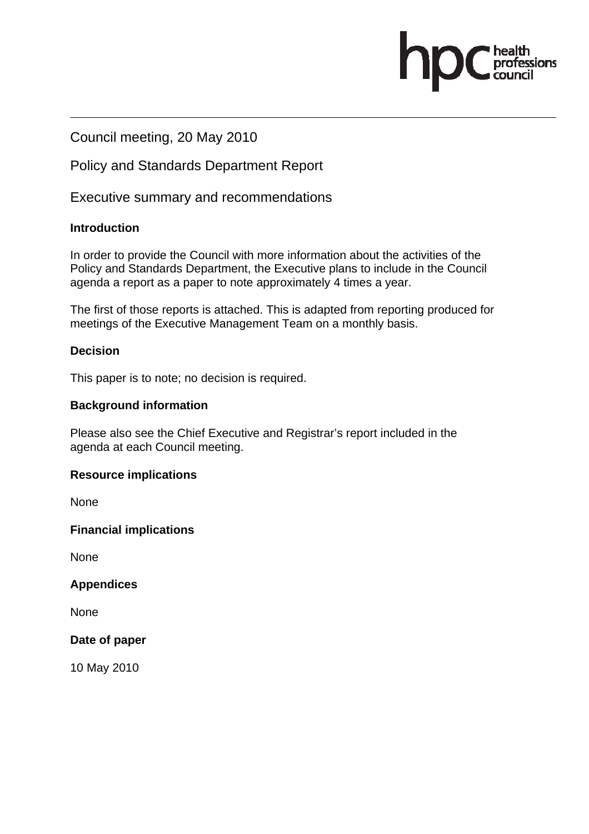Council meeting, 20 May 2010

# Policy and Standards Department Report

Executive summary and recommendations

### **Introduction**

In order to provide the Council with more information about the activities of the Policy and Standards Department, the Executive plans to include in the Council agenda a report as a paper to note approximately 4 times a year.

ofessions

The first of those reports is attached. This is adapted from reporting produced for meetings of the Executive Management Team on a monthly basis.

### **Decision**

This paper is to note; no decision is required.

### **Background information**

Please also see the Chief Executive and Registrar's report included in the agenda at each Council meeting.

### **Resource implications**

None

### **Financial implications**

None

### **Appendices**

**None** 

### **Date of paper**

10 May 2010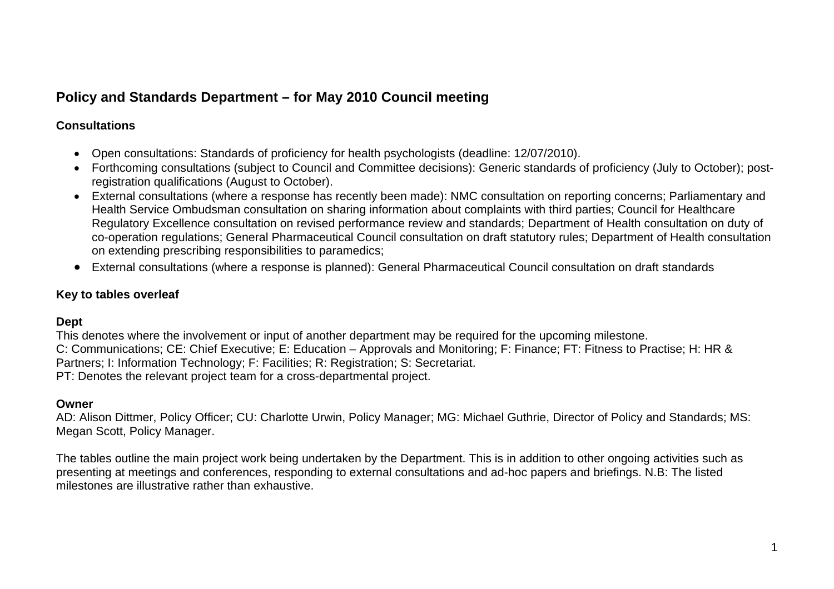# **Policy and Standards Department – for May 2010 Council meeting**

## **Consultations**

- Open consultations: Standards of proficiency for health psychologists (deadline: 12/07/2010).
- Forthcoming consultations (subject to Council and Committee decisions): Generic standards of proficiency (July to October); postregistration qualifications (August to October).
- External consultations (where a response has recently been made): NMC consultation on reporting concerns; Parliamentary and Health Service Ombudsman consultation on sharing information about complaints with third parties; Council for Healthcare Regulatory Excellence consultation on revised performance review and standards; Department of Health consultation on duty of co-operation regulations; General Pharmaceutical Council consultation on draft statutory rules; Department of Health consultation on extending prescribing responsibilities to paramedics;
- External consultations (where a response is planned): General Pharmaceutical Council consultation on draft standards

## **Key to tables overleaf**

# **Dept**

This denotes where the involvement or input of another department may be required for the upcoming milestone. C: Communications; CE: Chief Executive; E: Education – Approvals and Monitoring; F: Finance; FT: Fitness to Practise; H: HR & Partners; I: Information Technology; F: Facilities; R: Registration; S: Secretariat. PT: Denotes the relevant project team for a cross-departmental project.

### **Owner**

AD: Alison Dittmer, Policy Officer; CU: Charlotte Urwin, Policy Manager; MG: Michael Guthrie, Director of Policy and Standards; MS: Megan Scott, Policy Manager.

The tables outline the main project work being undertaken by the Department. This is in addition to other ongoing activities such as presenting at meetings and conferences, responding to external consultations and ad-hoc papers and briefings. N.B: The listed milestones are illustrative rather than exhaustive.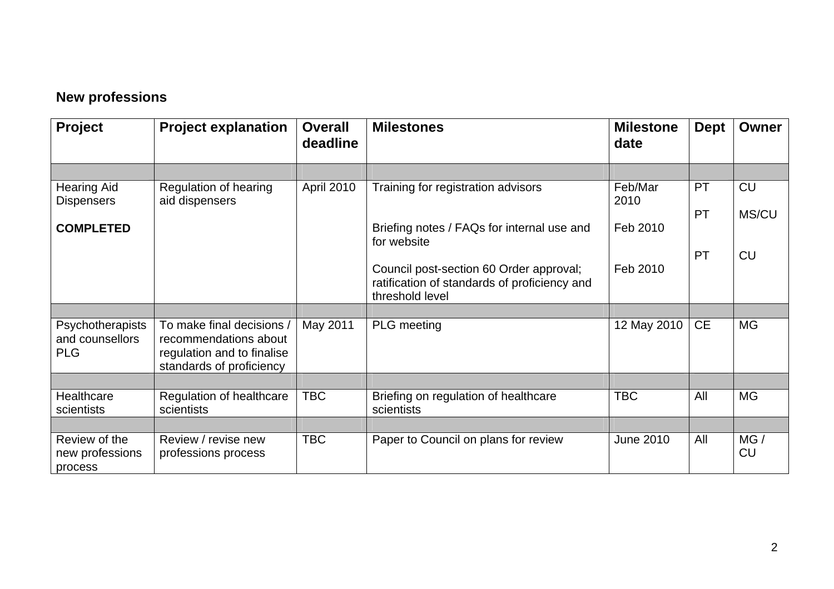# **New professions**

| <b>Project</b>                                    | <b>Project explanation</b>                                                                                 | <b>Overall</b><br>deadline | <b>Milestones</b>                                                                                          | <b>Milestone</b><br>date | <b>Dept</b> | Owner            |
|---------------------------------------------------|------------------------------------------------------------------------------------------------------------|----------------------------|------------------------------------------------------------------------------------------------------------|--------------------------|-------------|------------------|
|                                                   |                                                                                                            |                            |                                                                                                            |                          |             |                  |
| <b>Hearing Aid</b><br><b>Dispensers</b>           | Regulation of hearing<br>aid dispensers                                                                    | April 2010                 | Training for registration advisors                                                                         | Feb/Mar<br>2010          | <b>PT</b>   | <b>CU</b>        |
| <b>COMPLETED</b>                                  |                                                                                                            |                            | Briefing notes / FAQs for internal use and<br>for website                                                  | Feb 2010                 | <b>PT</b>   | MS/CU            |
|                                                   |                                                                                                            |                            | Council post-section 60 Order approval;<br>ratification of standards of proficiency and<br>threshold level | Feb 2010                 | PT          | <b>CU</b>        |
|                                                   |                                                                                                            |                            |                                                                                                            |                          |             |                  |
| Psychotherapists<br>and counsellors<br><b>PLG</b> | To make final decisions<br>recommendations about<br>regulation and to finalise<br>standards of proficiency | May 2011                   | <b>PLG</b> meeting                                                                                         | 12 May 2010              | <b>CE</b>   | <b>MG</b>        |
|                                                   |                                                                                                            |                            |                                                                                                            |                          |             |                  |
| Healthcare<br>scientists                          | Regulation of healthcare<br>scientists                                                                     | <b>TBC</b>                 | Briefing on regulation of healthcare<br>scientists                                                         | <b>TBC</b>               | All         | <b>MG</b>        |
|                                                   |                                                                                                            |                            |                                                                                                            |                          |             |                  |
| Review of the<br>new professions<br>process       | Review / revise new<br>professions process                                                                 | <b>TBC</b>                 | Paper to Council on plans for review                                                                       | <b>June 2010</b>         | All         | MG/<br><b>CU</b> |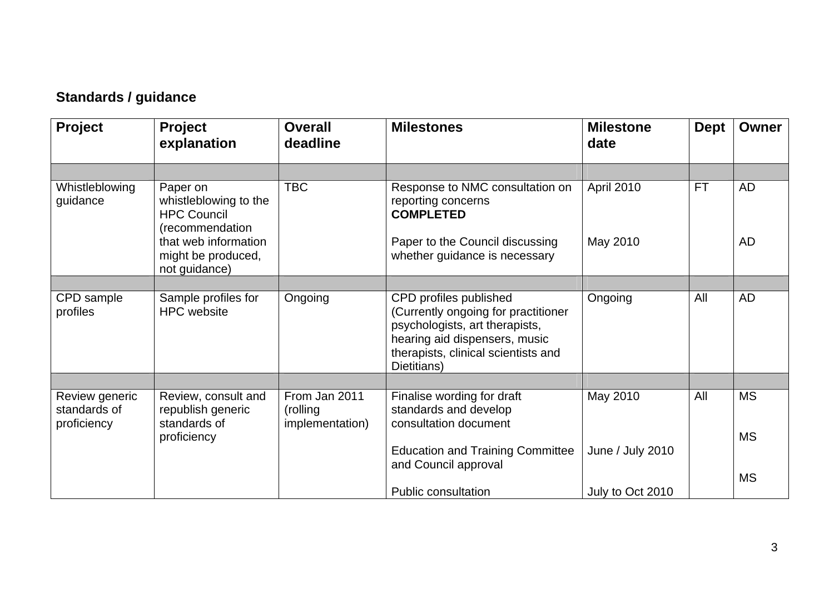# **Standards / guidance**

| <b>TBC</b><br>April 2010<br>Response to NMC consultation on<br>Whistleblowing<br>Paper on<br>guidance<br>whistleblowing to the<br>reporting concerns<br><b>HPC Council</b><br><b>COMPLETED</b><br>(recommendation                                                                   | <b>FT</b> | <b>AD</b> |
|-------------------------------------------------------------------------------------------------------------------------------------------------------------------------------------------------------------------------------------------------------------------------------------|-----------|-----------|
| May 2010<br>that web information<br>Paper to the Council discussing<br>whether guidance is necessary<br>might be produced,<br>not guidance)                                                                                                                                         |           | AD        |
|                                                                                                                                                                                                                                                                                     |           |           |
| Sample profiles for<br>CPD profiles published<br>CPD sample<br>Ongoing<br>Ongoing<br>(Currently ongoing for practitioner<br><b>HPC</b> website<br>profiles<br>psychologists, art therapists,<br>hearing aid dispensers, music<br>therapists, clinical scientists and<br>Dietitians) | All       | <b>AD</b> |
|                                                                                                                                                                                                                                                                                     |           |           |
| Finalise wording for draft<br>May 2010<br>Review generic<br>Review, consult and<br>From Jan 2011<br>standards and develop<br>standards of<br>republish generic<br>(rolling<br>standards of<br>consultation document<br>proficiency<br>implementation)                               | All       | <b>MS</b> |
| proficiency                                                                                                                                                                                                                                                                         |           | <b>MS</b> |
| June / July 2010<br><b>Education and Training Committee</b><br>and Council approval                                                                                                                                                                                                 |           |           |
| <b>Public consultation</b><br>July to Oct 2010                                                                                                                                                                                                                                      |           | <b>MS</b> |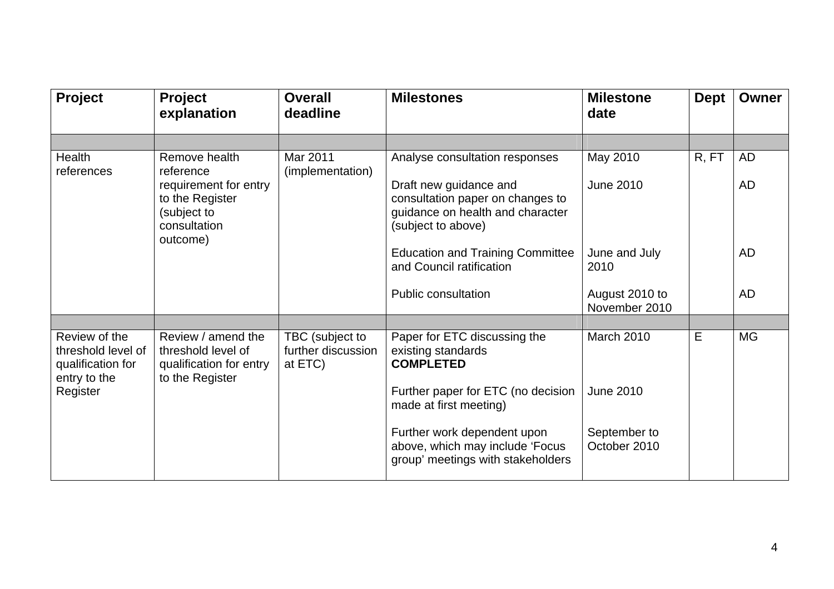| Project                                                                  | <b>Project</b><br>explanation                                                          | <b>Overall</b><br>deadline                       | <b>Milestones</b>                                                                                                    | <b>Milestone</b><br>date        | <b>Dept</b> | <b>Owner</b> |
|--------------------------------------------------------------------------|----------------------------------------------------------------------------------------|--------------------------------------------------|----------------------------------------------------------------------------------------------------------------------|---------------------------------|-------------|--------------|
|                                                                          |                                                                                        |                                                  |                                                                                                                      |                                 |             |              |
| Health<br>references                                                     | Remove health<br>reference                                                             | Mar 2011<br>(implementation)                     | Analyse consultation responses                                                                                       | May 2010                        | R, FT       | <b>AD</b>    |
|                                                                          | requirement for entry<br>to the Register<br>(subject to<br>consultation<br>outcome)    |                                                  | Draft new guidance and<br>consultation paper on changes to<br>guidance on health and character<br>(subject to above) | <b>June 2010</b>                |             | AD           |
|                                                                          |                                                                                        |                                                  | <b>Education and Training Committee</b><br>and Council ratification                                                  | June and July<br>2010           |             | <b>AD</b>    |
|                                                                          |                                                                                        |                                                  | <b>Public consultation</b>                                                                                           | August 2010 to<br>November 2010 |             | <b>AD</b>    |
|                                                                          |                                                                                        |                                                  |                                                                                                                      |                                 |             |              |
| Review of the<br>threshold level of<br>qualification for<br>entry to the | Review / amend the<br>threshold level of<br>qualification for entry<br>to the Register | TBC (subject to<br>further discussion<br>at ETC) | Paper for ETC discussing the<br>existing standards<br><b>COMPLETED</b>                                               | March 2010                      | E           | <b>MG</b>    |
| Register                                                                 |                                                                                        |                                                  | Further paper for ETC (no decision<br>made at first meeting)                                                         | <b>June 2010</b>                |             |              |
|                                                                          |                                                                                        |                                                  | Further work dependent upon<br>above, which may include 'Focus<br>group' meetings with stakeholders                  | September to<br>October 2010    |             |              |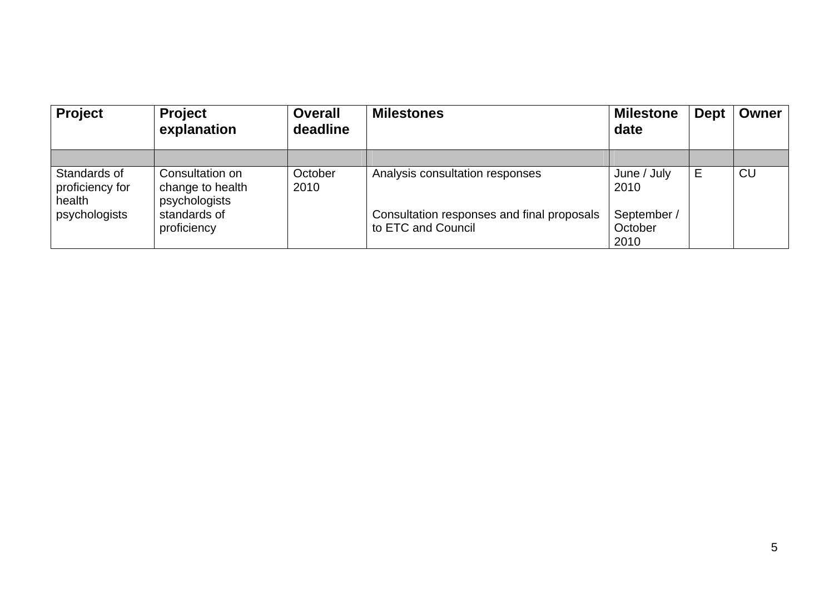| <b>Project</b>                            | <b>Project</b><br>explanation                        | <b>Overall</b><br>deadline | <b>Milestones</b>                                                | <b>Milestone</b><br>date       | <b>Dept</b> | <b>Owner</b> |
|-------------------------------------------|------------------------------------------------------|----------------------------|------------------------------------------------------------------|--------------------------------|-------------|--------------|
|                                           |                                                      |                            |                                                                  |                                |             |              |
| Standards of<br>proficiency for<br>health | Consultation on<br>change to health<br>psychologists | October<br>2010            | Analysis consultation responses                                  | June / July<br>2010            | Е           | CU           |
| psychologists                             | standards of<br>proficiency                          |                            | Consultation responses and final proposals<br>to ETC and Council | September /<br>October<br>2010 |             |              |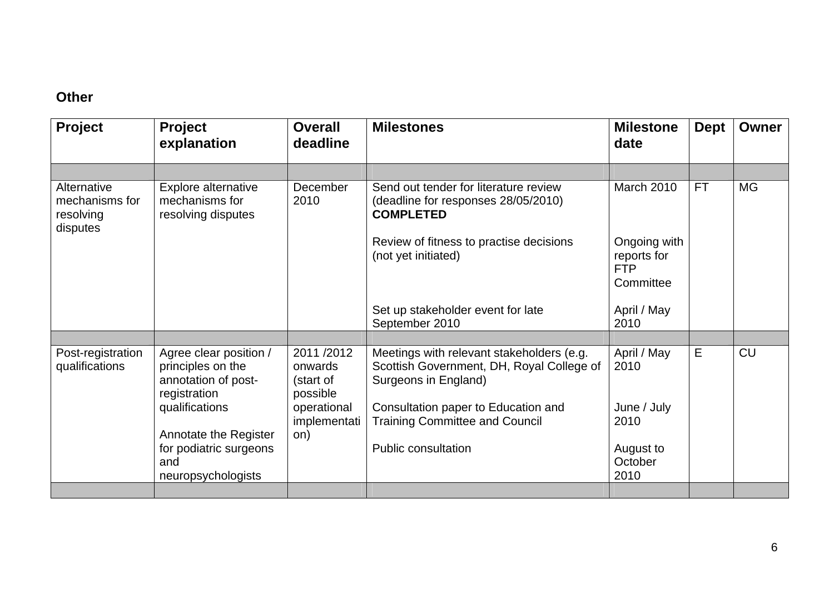## **Other**

| Project                                                | Project<br>explanation                                                                                                                                  | <b>Overall</b><br>deadline                                                          | <b>Milestones</b>                                                                                                                                                                                                            | <b>Milestone</b><br>date                                | <b>Dept</b> | <b>Owner</b> |
|--------------------------------------------------------|---------------------------------------------------------------------------------------------------------------------------------------------------------|-------------------------------------------------------------------------------------|------------------------------------------------------------------------------------------------------------------------------------------------------------------------------------------------------------------------------|---------------------------------------------------------|-------------|--------------|
|                                                        |                                                                                                                                                         |                                                                                     |                                                                                                                                                                                                                              |                                                         |             |              |
| Alternative<br>mechanisms for<br>resolving<br>disputes | Explore alternative<br>mechanisms for<br>resolving disputes                                                                                             | <b>December</b><br>2010                                                             | Send out tender for literature review<br>(deadline for responses 28/05/2010)<br><b>COMPLETED</b>                                                                                                                             | March 2010                                              | <b>FT</b>   | MG           |
|                                                        |                                                                                                                                                         |                                                                                     | Review of fitness to practise decisions<br>(not yet initiated)                                                                                                                                                               | Ongoing with<br>reports for<br><b>FTP</b><br>Committee  |             |              |
|                                                        |                                                                                                                                                         |                                                                                     | Set up stakeholder event for late<br>September 2010                                                                                                                                                                          | April / May<br>2010                                     |             |              |
|                                                        |                                                                                                                                                         |                                                                                     |                                                                                                                                                                                                                              |                                                         |             |              |
| Post-registration<br>qualifications                    | Agree clear position /<br>principles on the<br>annotation of post-<br>registration<br>qualifications<br>Annotate the Register<br>for podiatric surgeons | 2011/2012<br>onwards<br>(start of<br>possible<br>operational<br>implementati<br>on) | Meetings with relevant stakeholders (e.g.<br>Scottish Government, DH, Royal College of<br>Surgeons in England)<br>Consultation paper to Education and<br><b>Training Committee and Council</b><br><b>Public consultation</b> | April / May<br>2010<br>June / July<br>2010<br>August to | E           | <b>CU</b>    |
|                                                        | and<br>neuropsychologists                                                                                                                               |                                                                                     |                                                                                                                                                                                                                              | October<br>2010                                         |             |              |
|                                                        |                                                                                                                                                         |                                                                                     |                                                                                                                                                                                                                              |                                                         |             |              |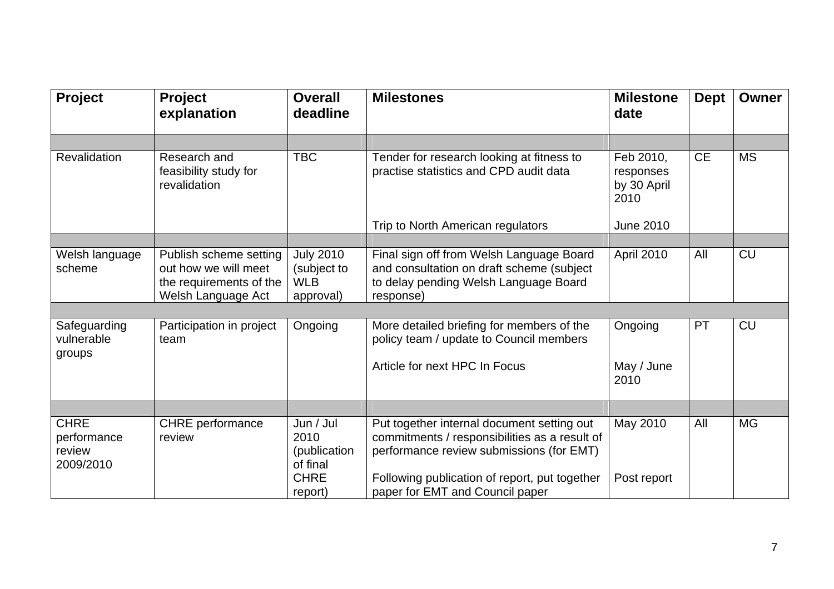| Project                                           | Project<br>explanation                                                                          | <b>Overall</b><br>deadline                                              | <b>Milestones</b>                                                                                                                                                                                                           | <b>Milestone</b><br>date                      | <b>Dept</b> | Owner     |
|---------------------------------------------------|-------------------------------------------------------------------------------------------------|-------------------------------------------------------------------------|-----------------------------------------------------------------------------------------------------------------------------------------------------------------------------------------------------------------------------|-----------------------------------------------|-------------|-----------|
|                                                   |                                                                                                 |                                                                         |                                                                                                                                                                                                                             |                                               |             |           |
| Revalidation                                      | Research and<br>feasibility study for<br>revalidation                                           | <b>TBC</b>                                                              | Tender for research looking at fitness to<br>practise statistics and CPD audit data                                                                                                                                         | Feb 2010,<br>responses<br>by 30 April<br>2010 | <b>CE</b>   | <b>MS</b> |
|                                                   |                                                                                                 |                                                                         | Trip to North American regulators                                                                                                                                                                                           | June 2010                                     |             |           |
|                                                   |                                                                                                 |                                                                         |                                                                                                                                                                                                                             |                                               |             |           |
| Welsh language<br>scheme                          | Publish scheme setting<br>out how we will meet<br>the requirements of the<br>Welsh Language Act | <b>July 2010</b><br>(subject to<br><b>WLB</b><br>approval)              | Final sign off from Welsh Language Board<br>and consultation on draft scheme (subject<br>to delay pending Welsh Language Board<br>response)                                                                                 | April 2010                                    | All         | <b>CU</b> |
|                                                   |                                                                                                 |                                                                         |                                                                                                                                                                                                                             |                                               |             |           |
| Safeguarding<br>vulnerable<br>groups              | Participation in project<br>team                                                                | Ongoing                                                                 | More detailed briefing for members of the<br>policy team / update to Council members                                                                                                                                        | Ongoing                                       | <b>PT</b>   | <b>CU</b> |
|                                                   |                                                                                                 |                                                                         | Article for next HPC In Focus                                                                                                                                                                                               | May / June<br>2010                            |             |           |
|                                                   |                                                                                                 |                                                                         |                                                                                                                                                                                                                             |                                               |             |           |
| <b>CHRE</b><br>performance<br>review<br>2009/2010 | <b>CHRE</b> performance<br>review                                                               | Jun / Jul<br>2010<br>(publication<br>of final<br><b>CHRE</b><br>report) | Put together internal document setting out<br>commitments / responsibilities as a result of<br>performance review submissions (for EMT)<br>Following publication of report, put together<br>paper for EMT and Council paper | May 2010<br>Post report                       | All         | <b>MG</b> |